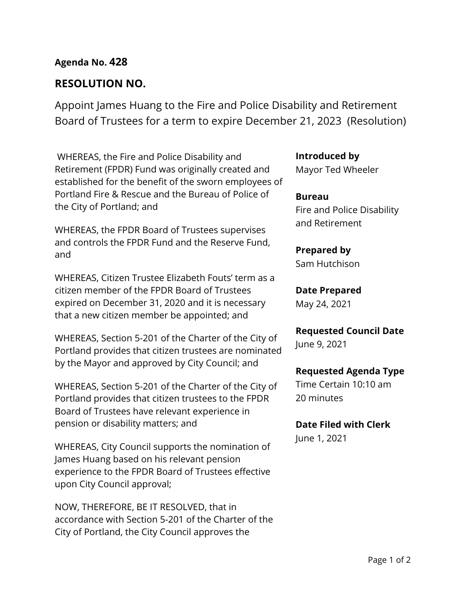## **Agenda No. 428**

## **RESOLUTION NO.**

Appoint James Huang to the Fire and Police Disability and Retirement Board of Trustees for a term to expire December 21, 2023 (Resolution)

WHEREAS, the Fire and Police Disability and Retirement (FPDR) Fund was originally created and established for the benefit of the sworn employees of Portland Fire & Rescue and the Bureau of Police of the City of Portland; and

WHEREAS, the FPDR Board of Trustees supervises and controls the FPDR Fund and the Reserve Fund, and

WHEREAS, Citizen Trustee Elizabeth Fouts' term as a citizen member of the FPDR Board of Trustees expired on December 31, 2020 and it is necessary that a new citizen member be appointed; and

WHEREAS, Section 5-201 of the Charter of the City of Portland provides that citizen trustees are nominated by the Mayor and approved by City Council; and

WHEREAS, Section 5-201 of the Charter of the City of Portland provides that citizen trustees to the FPDR Board of Trustees have relevant experience in pension or disability matters; and

WHEREAS, City Council supports the nomination of James Huang based on his relevant pension experience to the FPDR Board of Trustees effective upon City Council approval;

NOW, THEREFORE, BE IT RESOLVED, that in accordance with Section 5-201 of the Charter of the City of Portland, the City Council approves the

**Introduced by**

Mayor Ted Wheeler

**Bureau** Fire and Police Disability and Retirement

# **Prepared by**

Sam Hutchison

## **Date Prepared**

May 24, 2021

### **Requested Council Date**

June 9, 2021

### **Requested Agenda Type**

Time Certain 10:10 am 20 minutes

### **Date Filed with Clerk**

June 1, 2021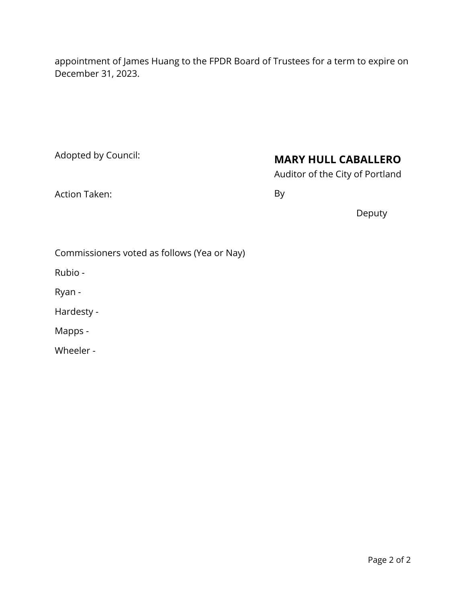appointment of James Huang to the FPDR Board of Trustees for a term to expire on December 31, 2023.

Adopted by Council:

## **MARY HULL CABALLERO**

Auditor of the City of Portland

Action Taken:

By

Deputy

Commissioners voted as follows (Yea or Nay)

Rubio -

Ryan -

Hardesty -

Mapps -

Wheeler -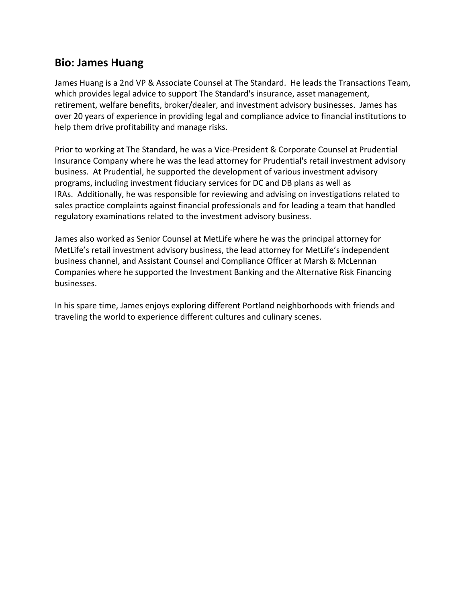## **Bio: James Huang**

James Huang is a 2nd VP & Associate Counsel at The Standard. He leads the Transactions Team, which provides legal advice to support The Standard's insurance, asset management, retirement, welfare benefits, broker/dealer, and investment advisory businesses. James has over 20 years of experience in providing legal and compliance advice to financial institutions to help them drive profitability and manage risks.

Prior to working at The Standard, he was a Vice‐President & Corporate Counsel at Prudential Insurance Company where he was the lead attorney for Prudential's retail investment advisory business. At Prudential, he supported the development of various investment advisory programs, including investment fiduciary services for DC and DB plans as well as IRAs. Additionally, he was responsible for reviewing and advising on investigations related to sales practice complaints against financial professionals and for leading a team that handled regulatory examinations related to the investment advisory business.

James also worked as Senior Counsel at MetLife where he was the principal attorney for MetLife's retail investment advisory business, the lead attorney for MetLife's independent business channel, and Assistant Counsel and Compliance Officer at Marsh & McLennan Companies where he supported the Investment Banking and the Alternative Risk Financing businesses.

In his spare time, James enjoys exploring different Portland neighborhoods with friends and traveling the world to experience different cultures and culinary scenes.